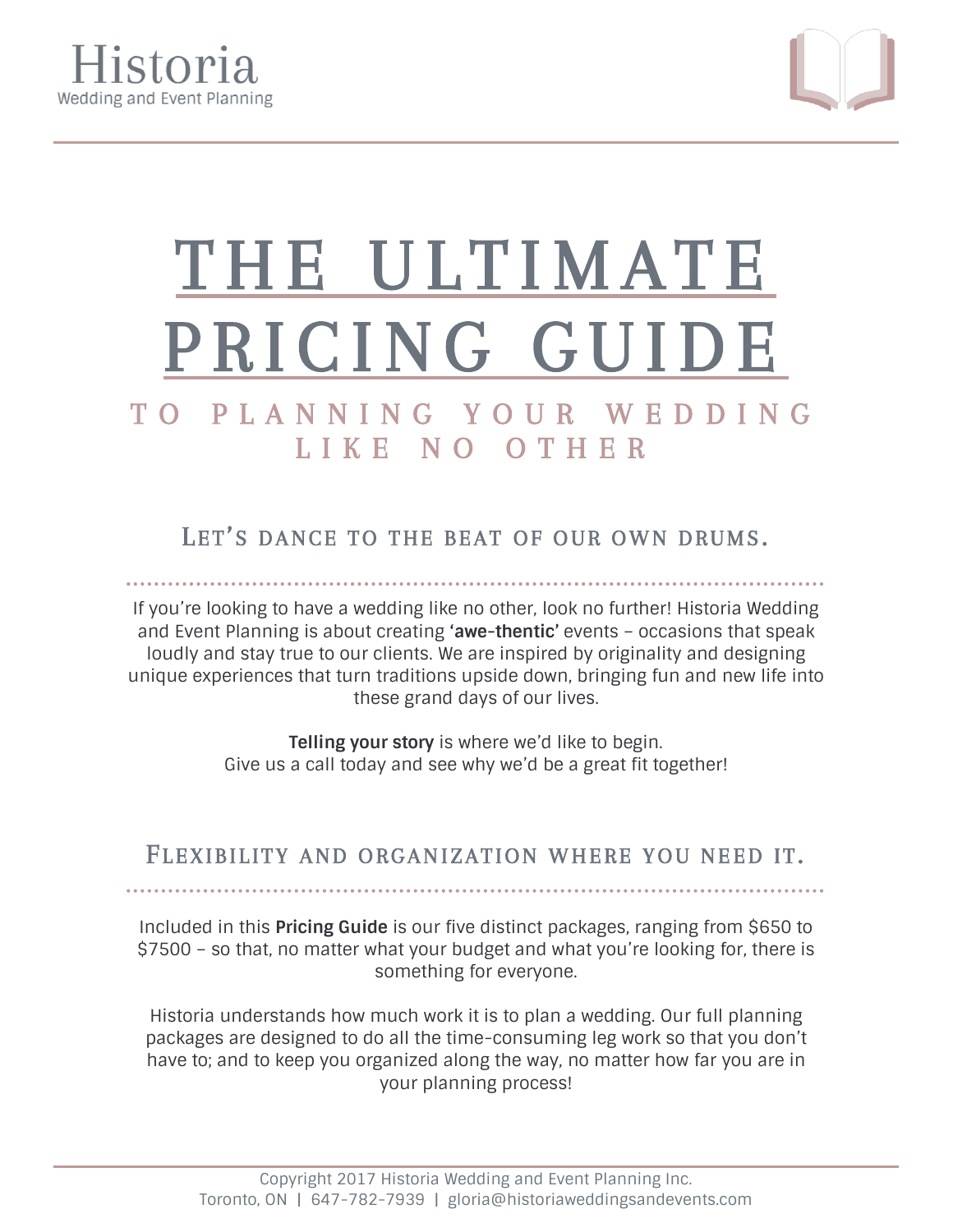



# THE ULTIMATE PRICING GUIDE

# T O P L A N N I N G Y O U R W E D D I N G L I K E N O O T H E R

LET'S DANCE TO THE BEAT OF OUR OWN DRUMS.

If you're looking to have a wedding like no other, look no further! Historia Wedding and Event Planning is about creating **'awe-thentic'** events – occasions that speak loudly and stay true to our clients. We are inspired by originality and designing unique experiences that turn traditions upside down, bringing fun and new life into these grand days of our lives.

> **Telling your story** is where we'd like to begin. Give us a call today and see why we'd be a great fit together!

FLEXIBILITY AND ORGANIZATION WHERE YOU NEED IT.

Included in this **Pricing Guide** is our five distinct packages, ranging from \$650 to \$7500 – so that, no matter what your budget and what you're looking for, there is something for everyone.

Historia understands how much work it is to plan a wedding. Our full planning packages are designed to do all the time-consuming leg work so that you don't have to; and to keep you organized along the way, no matter how far you are in your planning process!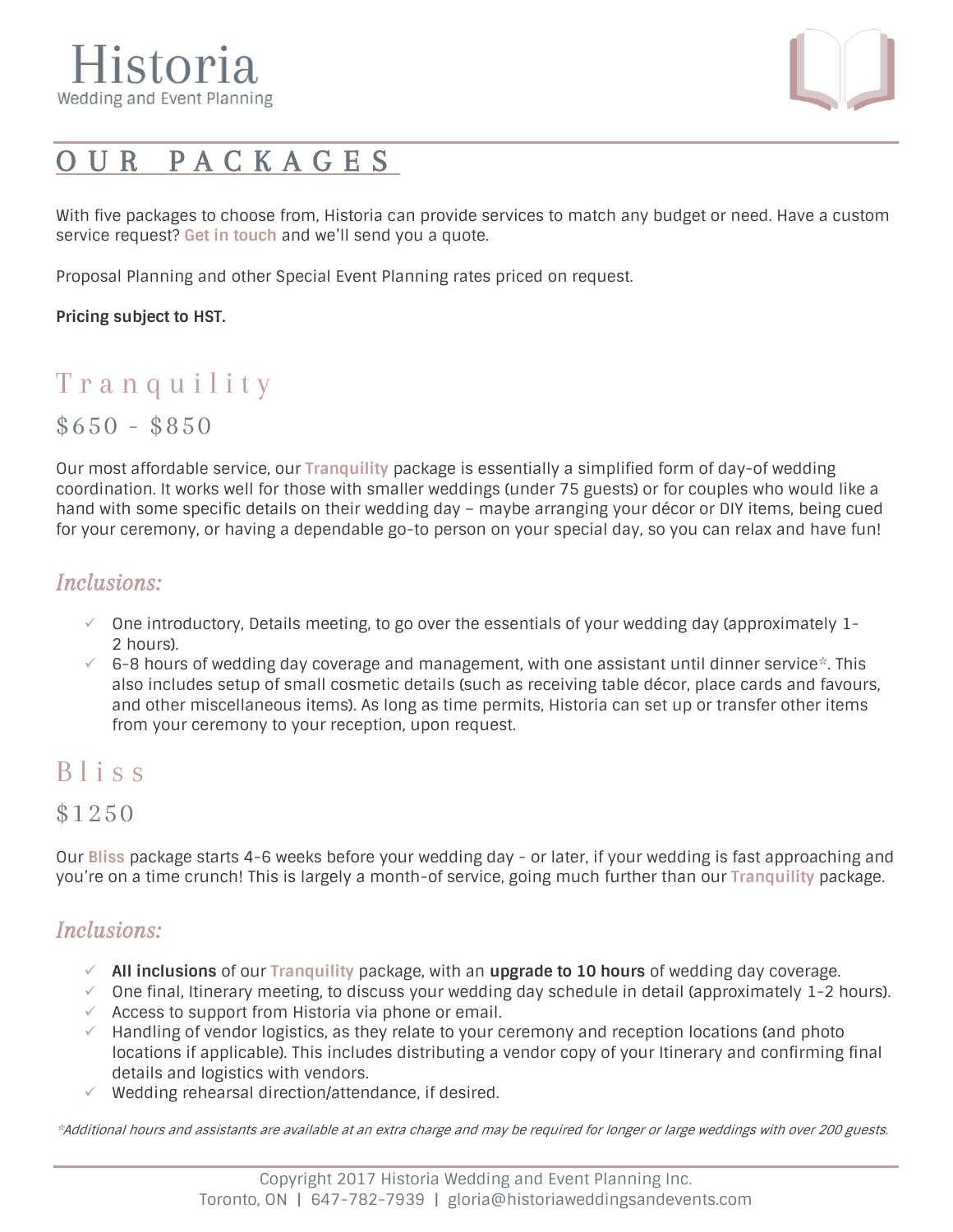

# O U R P A C K A G E S

With five packages to choose from, Historia can provide services to match any budget or need. Have a custom service request? **[Get in touch](mailto:gloria@historiaweddingsandevents.com)** and we'll send you a quote.

Proposal Planning and other Special Event Planning rates priced on request.

#### **Pricing subject to HST.**

# Tranquility

 $$650 - $850$ 

Our most affordable service, our **Tranquility** package is essentially a simplified form of day-of wedding coordination. It works well for those with smaller weddings (under 75 guests) or for couples who would like a hand with some specific details on their wedding day – maybe arranging your décor or DIY items, being cued for your ceremony, or having a dependable go-to person on your special day, so you can relax and have fun!

#### *Inclusions:*

- $\checkmark$  One introductory, Details meeting, to go over the essentials of your wedding day (approximately 1-2 hours).
- ✓ 6-8 hours of wedding day coverage and management, with one assistant until dinner service**\***. This also includes setup of small cosmetic details (such as receiving table décor, place cards and favours, and other miscellaneous items). As long as time permits, Historia can set up or transfer other items from your ceremony to your reception, upon request.

#### B l i s s

#### \$1250

Our **Bliss** package starts 4-6 weeks before your wedding day - or later, if your wedding is fast approaching and you're on a time crunch! This is largely a month-of service, going much further than our **Tranquility** package.

#### *Inclusions:*

- ✓ **All inclusions** of our **Tranquility** package, with an **upgrade to 10 hours** of wedding day coverage.
- $\checkmark$  One final, Itinerary meeting, to discuss your wedding day schedule in detail (approximately 1-2 hours).  $\checkmark$  Access to support from Historia via phone or email.
- $\checkmark$  Handling of vendor logistics, as they relate to your ceremony and reception locations (and photo locations if applicable). This includes distributing a vendor copy of your Itinerary and confirming final details and logistics with vendors.
- $\checkmark$  Wedding rehearsal direction/attendance, if desired.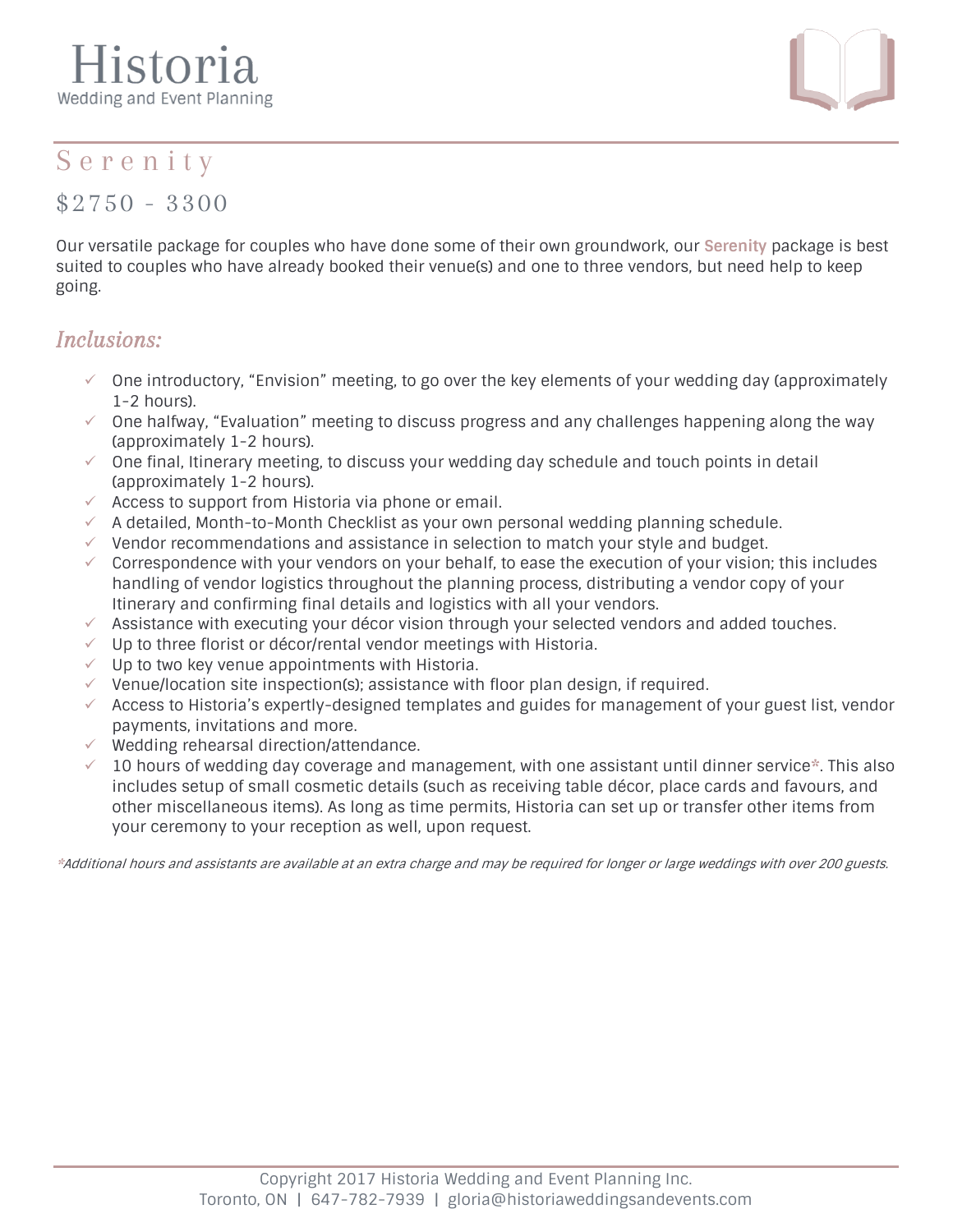# listoria Wedding and Event Planning



### S e r e n i t y

\$2750 - 3300

Our versatile package for couples who have done some of their own groundwork, our **Serenity** package is best suited to couples who have already booked their venue(s) and one to three vendors, but need help to keep going.

#### *Inclusions:*

- $\checkmark$  One introductory, "Envision" meeting, to go over the key elements of your wedding day (approximately 1-2 hours).
- $\checkmark$  One halfway, "Evaluation" meeting to discuss progress and any challenges happening along the way (approximately 1-2 hours).
- $\checkmark$  One final, Itinerary meeting, to discuss your wedding day schedule and touch points in detail (approximately 1-2 hours).
- $\checkmark$  Access to support from Historia via phone or email.
- $\checkmark$  A detailed, Month-to-Month Checklist as your own personal wedding planning schedule.
- $\checkmark$  Vendor recommendations and assistance in selection to match your style and budget.
- Correspondence with your vendors on your behalf, to ease the execution of your vision; this includes handling of vendor logistics throughout the planning process, distributing a vendor copy of your Itinerary and confirming final details and logistics with all your vendors.
- $\checkmark$  Assistance with executing your décor vision through your selected vendors and added touches.
- $\checkmark$  Up to three florist or décor/rental vendor meetings with Historia.
- $\checkmark$  Up to two key venue appointments with Historia.
- $\checkmark$  Venue/location site inspection(s); assistance with floor plan design, if required.
- $\checkmark$  Access to Historia's expertly-designed templates and guides for management of your guest list, vendor payments, invitations and more.
- ✓ Wedding rehearsal direction/attendance.
- ✓ 10 hours of wedding day coverage and management, with one assistant until dinner service**\***. This also includes setup of small cosmetic details (such as receiving table décor, place cards and favours, and other miscellaneous items). As long as time permits, Historia can set up or transfer other items from your ceremony to your reception as well, upon request.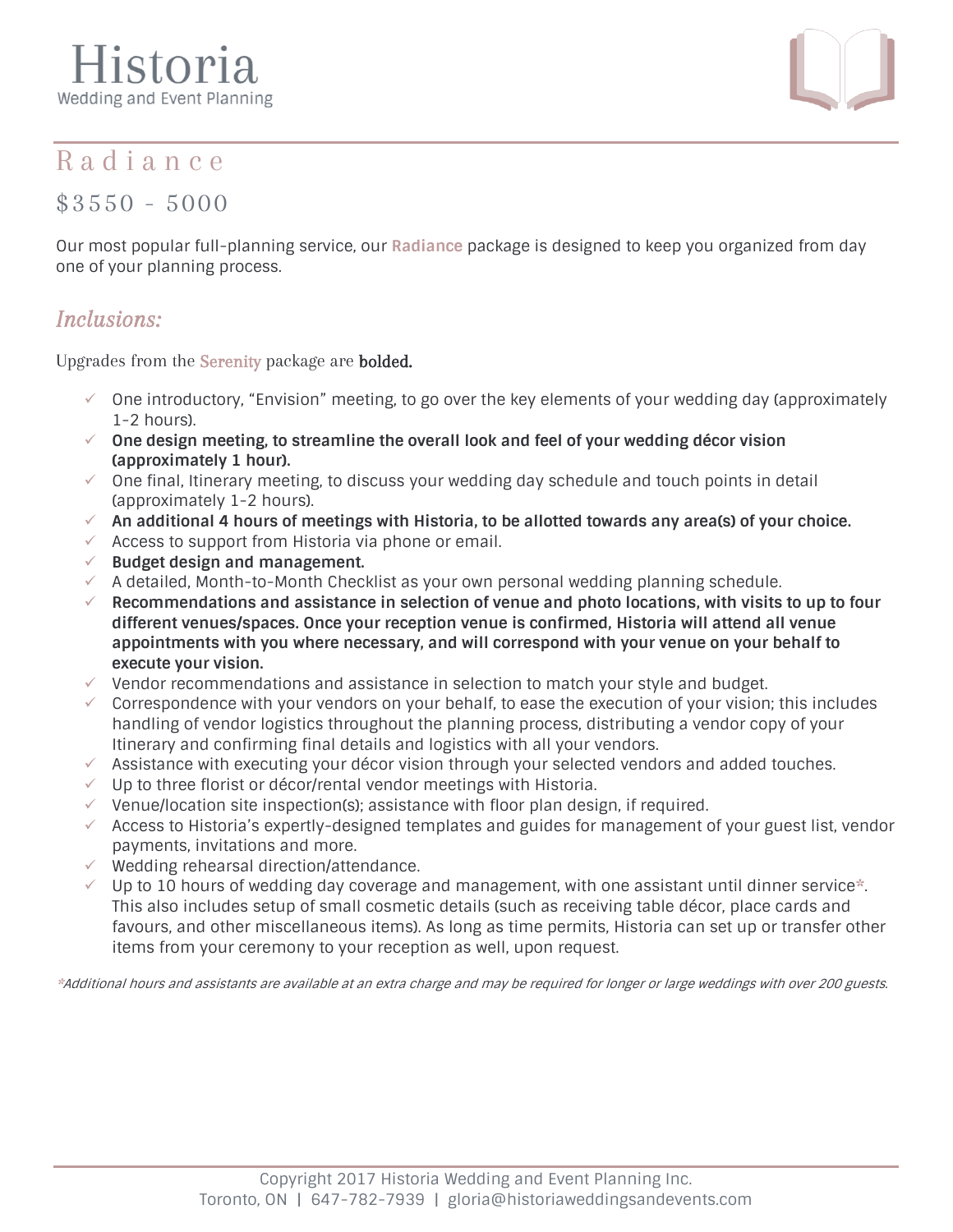# Iistoria Wedding and Event Planning



#### R a d i a n c e

\$3550 - 5000

Our most popular full-planning service, our **Radiance** package is designed to keep you organized from day one of your planning process.

#### *Inclusions:*

Upgrades from the Serenity package are bolded.

- $\check{\phantom{\phi}}$  One introductory, "Envision" meeting, to go over the key elements of your wedding day (approximately 1-2 hours).
- ✓ **One design meeting, to streamline the overall look and feel of your wedding décor vision (approximately 1 hour).**
- $\checkmark$  One final, Itinerary meeting, to discuss your wedding day schedule and touch points in detail (approximately 1-2 hours).
- ✓ **An additional 4 hours of meetings with Historia, to be allotted towards any area(s) of your choice.**
- $\checkmark$  Access to support from Historia via phone or email.
- ✓ **Budget design and management.**
- $\checkmark$  A detailed, Month-to-Month Checklist as your own personal wedding planning schedule.
- ✓ **Recommendations and assistance in selection of venue and photo locations, with visits to up to four different venues/spaces. Once your reception venue is confirmed, Historia will attend all venue appointments with you where necessary, and will correspond with your venue on your behalf to execute your vision.**
- ✓ Vendor recommendations and assistance in selection to match your style and budget.
- Correspondence with your vendors on your behalf, to ease the execution of your vision; this includes handling of vendor logistics throughout the planning process, distributing a vendor copy of your Itinerary and confirming final details and logistics with all your vendors.
- $\checkmark$  Assistance with executing your décor vision through your selected vendors and added touches.
- $\checkmark$  Up to three florist or décor/rental vendor meetings with Historia.
- $\checkmark$  Venue/location site inspection(s); assistance with floor plan design, if required.
- $\checkmark$  Access to Historia's expertly-designed templates and guides for management of your guest list, vendor payments, invitations and more.
- ✓ Wedding rehearsal direction/attendance.
- Up to 10 hours of wedding day coverage and management, with one assistant until dinner service<sup>\*</sup>. This also includes setup of small cosmetic details (such as receiving table décor, place cards and favours, and other miscellaneous items). As long as time permits, Historia can set up or transfer other items from your ceremony to your reception as well, upon request.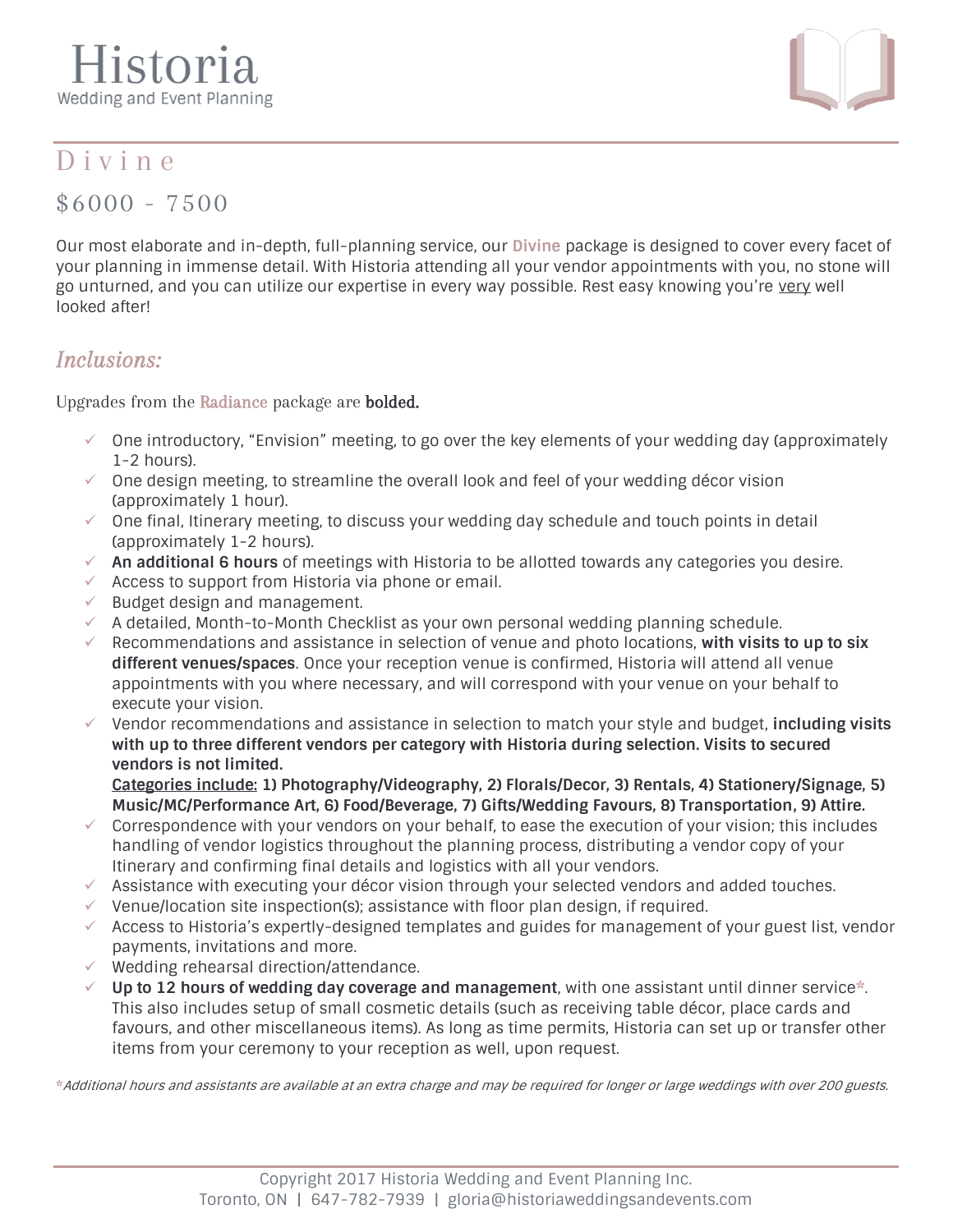# Iistoria Wedding and Event Planning



## D i v i n e

\$6000 - 7500

Our most elaborate and in-depth, full-planning service, our **Divine** package is designed to cover every facet of your planning in immense detail. With Historia attending all your vendor appointments with you, no stone will go unturned, and you can utilize our expertise in every way possible. Rest easy knowing you're very well looked after!

#### *Inclusions:*

Upgrades from the Radiance package are bolded.

- ✓ One introductory, "Envision" meeting, to go over the key elements of your wedding day (approximately 1-2 hours).
- $\checkmark$  One design meeting, to streamline the overall look and feel of your wedding décor vision (approximately 1 hour).
- $\checkmark$  One final, Itinerary meeting, to discuss your wedding day schedule and touch points in detail (approximately 1-2 hours).
- ✓ **An additional 6 hours** of meetings with Historia to be allotted towards any categories you desire.
- $\checkmark$  Access to support from Historia via phone or email.
- $\checkmark$  Budget design and management.
- $\checkmark$  A detailed, Month-to-Month Checklist as your own personal wedding planning schedule.
- Recommendations and assistance in selection of venue and photo locations, with visits to up to six **different venues/spaces**. Once your reception venue is confirmed, Historia will attend all venue appointments with you where necessary, and will correspond with your venue on your behalf to execute your vision.
- ✓ Vendor recommendations and assistance in selection to match your style and budget, **including visits with up to three different vendors per category with Historia during selection. Visits to secured vendors is not limited.**

**Categories include: 1) Photography/Videography, 2) Florals/Decor, 3) Rentals, 4) Stationery/Signage, 5) Music/MC/Performance Art, 6) Food/Beverage, 7) Gifts/Wedding Favours, 8) Transportation, 9) Attire.**

- $\checkmark$  Correspondence with your vendors on your behalf, to ease the execution of your vision; this includes handling of vendor logistics throughout the planning process, distributing a vendor copy of your Itinerary and confirming final details and logistics with all your vendors.
- $\checkmark$  Assistance with executing your décor vision through your selected vendors and added touches.
- $\checkmark$  Venue/location site inspection(s); assistance with floor plan design, if required.
- $\checkmark$  Access to Historia's expertly-designed templates and guides for management of your guest list, vendor payments, invitations and more.
- ✓ Wedding rehearsal direction/attendance.
- Up to 12 hours of wedding day coverage and management, with one assistant until dinner service\*. This also includes setup of small cosmetic details (such as receiving table décor, place cards and favours, and other miscellaneous items). As long as time permits, Historia can set up or transfer other items from your ceremony to your reception as well, upon request.